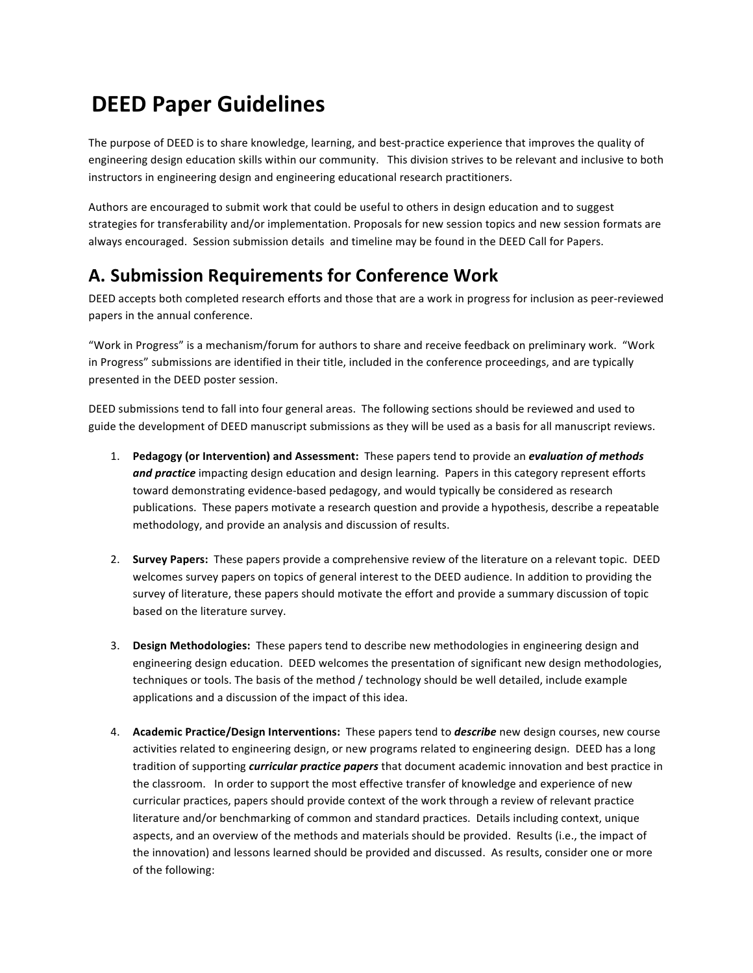## **DEED Paper Guidelines**

The purpose of DEED is to share knowledge, learning, and best-practice experience that improves the quality of engineering design education skills within our community. This division strives to be relevant and inclusive to both instructors in engineering design and engineering educational research practitioners.

Authors are encouraged to submit work that could be useful to others in design education and to suggest strategies for transferability and/or implementation. Proposals for new session topics and new session formats are always encouraged. Session submission details and timeline may be found in the DEED Call for Papers.

## **A. Submission Requirements for Conference Work**

DEED accepts both completed research efforts and those that are a work in progress for inclusion as peer-reviewed papers in the annual conference.

"Work in Progress" is a mechanism/forum for authors to share and receive feedback on preliminary work. "Work in Progress" submissions are identified in their title, included in the conference proceedings, and are typically presented in the DEED poster session.

DEED submissions tend to fall into four general areas. The following sections should be reviewed and used to guide the development of DEED manuscript submissions as they will be used as a basis for all manuscript reviews.

- 1. **Pedagogy (or Intervention) and Assessment:** These papers tend to provide an *evaluation of methods* and practice impacting design education and design learning. Papers in this category represent efforts toward demonstrating evidence-based pedagogy, and would typically be considered as research publications. These papers motivate a research question and provide a hypothesis, describe a repeatable methodology, and provide an analysis and discussion of results.
- 2. **Survey Papers:** These papers provide a comprehensive review of the literature on a relevant topic. DEED welcomes survey papers on topics of general interest to the DEED audience. In addition to providing the survey of literature, these papers should motivate the effort and provide a summary discussion of topic based on the literature survey.
- 3. **Design Methodologies:** These papers tend to describe new methodologies in engineering design and engineering design education. DEED welcomes the presentation of significant new design methodologies, techniques or tools. The basis of the method / technology should be well detailed, include example applications and a discussion of the impact of this idea.
- 4. Academic Practice/Design Interventions: These papers tend to *describe* new design courses, new course activities related to engineering design, or new programs related to engineering design. DEED has a long tradition of supporting *curricular practice papers* that document academic innovation and best practice in the classroom. In order to support the most effective transfer of knowledge and experience of new curricular practices, papers should provide context of the work through a review of relevant practice literature and/or benchmarking of common and standard practices. Details including context, unique aspects, and an overview of the methods and materials should be provided. Results (i.e., the impact of the innovation) and lessons learned should be provided and discussed. As results, consider one or more of the following: